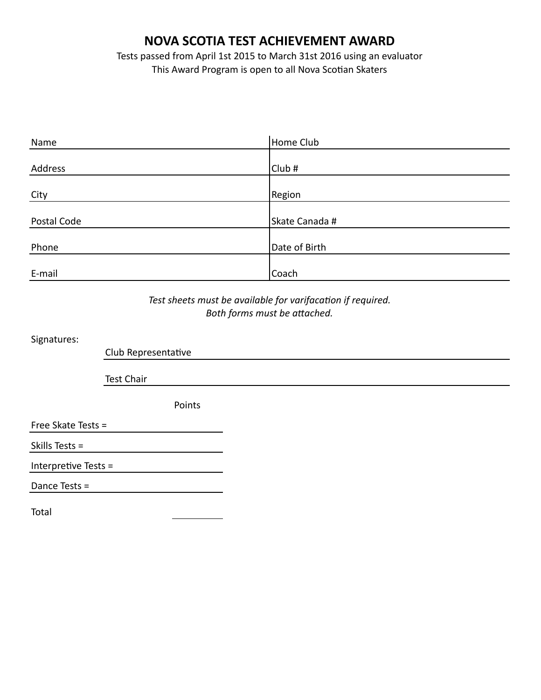## **NOVA SCOTIA TEST ACHIEVEMENT AWARD**

Tests passed from April 1st 2015 to March 31st 2016 using an evaluator This Award Program is open to all Nova Scotian Skaters

| Name        | Home Club      |
|-------------|----------------|
|             |                |
| Address     | Club#          |
|             |                |
| City        | <b>Region</b>  |
|             |                |
| Postal Code | Skate Canada # |
|             |                |
| Phone       | Date of Birth  |
|             |                |
| E-mail      | Coach          |

## Test sheets must be available for varifacation if required. Both forms must be attached.

Signatures:

Club Representative

**Test Chair** 

Points

Free Skate Tests =

Skills Tests  $=$ 

Interpretive Tests  $=$ 

Dance Tests =

Total